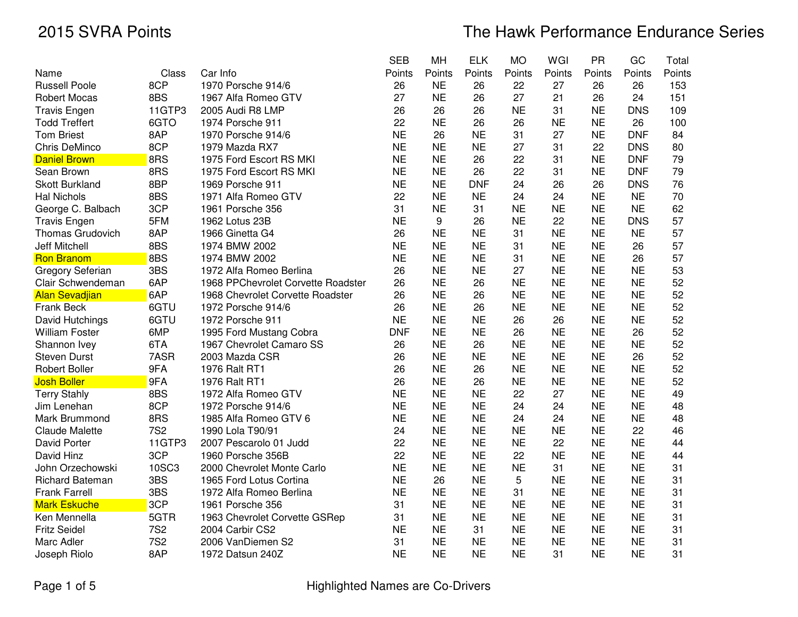|                         |            |                                    | <b>SEB</b> | MH        | <b>ELK</b> | <b>MO</b> | WGI       | PR        | GC         | Total  |
|-------------------------|------------|------------------------------------|------------|-----------|------------|-----------|-----------|-----------|------------|--------|
| Name                    | Class      | Car Info                           | Points     | Points    | Points     | Points    | Points    | Points    | Points     | Points |
| <b>Russell Poole</b>    | 8CP        | 1970 Porsche 914/6                 | 26         | <b>NE</b> | 26         | 22        | 27        | 26        | 26         | 153    |
| <b>Robert Mocas</b>     | 8BS        | 1967 Alfa Romeo GTV                | 27         | <b>NE</b> | 26         | 27        | 21        | 26        | 24         | 151    |
| <b>Travis Engen</b>     | 11GTP3     | 2005 Audi R8 LMP                   | 26         | 26        | 26         | <b>NE</b> | 31        | <b>NE</b> | <b>DNS</b> | 109    |
| <b>Todd Treffert</b>    | 6GTO       | 1974 Porsche 911                   | 22         | <b>NE</b> | 26         | 26        | <b>NE</b> | <b>NE</b> | 26         | 100    |
| <b>Tom Briest</b>       | 8AP        | 1970 Porsche 914/6                 | <b>NE</b>  | 26        | <b>NE</b>  | 31        | 27        | <b>NE</b> | <b>DNF</b> | 84     |
| <b>Chris DeMinco</b>    | 8CP        | 1979 Mazda RX7                     | <b>NE</b>  | <b>NE</b> | <b>NE</b>  | 27        | 31        | 22        | <b>DNS</b> | 80     |
| <b>Daniel Brown</b>     | 8RS        | 1975 Ford Escort RS MKI            | <b>NE</b>  | <b>NE</b> | 26         | 22        | 31        | <b>NE</b> | <b>DNF</b> | 79     |
| Sean Brown              | 8RS        | 1975 Ford Escort RS MKI            | <b>NE</b>  | <b>NE</b> | 26         | 22        | 31        | <b>NE</b> | <b>DNF</b> | 79     |
| <b>Skott Burkland</b>   | 8BP        | 1969 Porsche 911                   | <b>NE</b>  | <b>NE</b> | <b>DNF</b> | 24        | 26        | 26        | <b>DNS</b> | 76     |
| <b>Hal Nichols</b>      | 8BS        | 1971 Alfa Romeo GTV                | 22         | <b>NE</b> | <b>NE</b>  | 24        | 24        | <b>NE</b> | <b>NE</b>  | 70     |
| George C. Balbach       | 3CP        | 1961 Porsche 356                   | 31         | <b>NE</b> | 31         | <b>NE</b> | <b>NE</b> | <b>NE</b> | <b>NE</b>  | 62     |
| <b>Travis Engen</b>     | 5FM        | 1962 Lotus 23B                     | <b>NE</b>  | 9         | 26         | <b>NE</b> | 22        | <b>NE</b> | <b>DNS</b> | 57     |
| <b>Thomas Grudovich</b> | 8AP        | 1966 Ginetta G4                    | 26         | <b>NE</b> | <b>NE</b>  | 31        | <b>NE</b> | <b>NE</b> | <b>NE</b>  | 57     |
| <b>Jeff Mitchell</b>    | 8BS        | 1974 BMW 2002                      | <b>NE</b>  | <b>NE</b> | <b>NE</b>  | 31        | <b>NE</b> | <b>NE</b> | 26         | 57     |
| <b>Ron Branom</b>       | 8BS        | 1974 BMW 2002                      | <b>NE</b>  | <b>NE</b> | <b>NE</b>  | 31        | <b>NE</b> | <b>NE</b> | 26         | 57     |
| Gregory Seferian        | 3BS        | 1972 Alfa Romeo Berlina            | 26         | <b>NE</b> | <b>NE</b>  | 27        | <b>NE</b> | <b>NE</b> | <b>NE</b>  | 53     |
| Clair Schwendeman       | 6AP        | 1968 PPChevrolet Corvette Roadster | 26         | <b>NE</b> | 26         | <b>NE</b> | <b>NE</b> | <b>NE</b> | <b>NE</b>  | 52     |
| <b>Alan Sevadjian</b>   | 6AP        | 1968 Chevrolet Corvette Roadster   | 26         | <b>NE</b> | 26         | <b>NE</b> | <b>NE</b> | <b>NE</b> | <b>NE</b>  | 52     |
| Frank Beck              | 6GTU       | 1972 Porsche 914/6                 | 26         | <b>NE</b> | 26         | <b>NE</b> | <b>NE</b> | <b>NE</b> | <b>NE</b>  | 52     |
| David Hutchings         | 6GTU       | 1972 Porsche 911                   | <b>NE</b>  | <b>NE</b> | <b>NE</b>  | 26        | 26        | <b>NE</b> | <b>NE</b>  | 52     |
| <b>William Foster</b>   | 6MP        | 1995 Ford Mustang Cobra            | <b>DNF</b> | <b>NE</b> | <b>NE</b>  | 26        | <b>NE</b> | <b>NE</b> | 26         | 52     |
| Shannon Ivey            | 6TA        | 1967 Chevrolet Camaro SS           | 26         | <b>NE</b> | 26         | <b>NE</b> | <b>NE</b> | <b>NE</b> | <b>NE</b>  | 52     |
| <b>Steven Durst</b>     | 7ASR       | 2003 Mazda CSR                     | 26         | <b>NE</b> | <b>NE</b>  | <b>NE</b> | <b>NE</b> | <b>NE</b> | 26         | 52     |
| <b>Robert Boller</b>    | 9FA        | 1976 Ralt RT1                      | 26         | <b>NE</b> | 26         | <b>NE</b> | <b>NE</b> | <b>NE</b> | <b>NE</b>  | 52     |
| <b>Josh Boller</b>      | 9FA        | 1976 Ralt RT1                      | 26         | <b>NE</b> | 26         | <b>NE</b> | <b>NE</b> | <b>NE</b> | <b>NE</b>  | 52     |
| <b>Terry Stahly</b>     | 8BS        | 1972 Alfa Romeo GTV                | <b>NE</b>  | <b>NE</b> | <b>NE</b>  | 22        | 27        | <b>NE</b> | <b>NE</b>  | 49     |
| Jim Lenehan             | 8CP        | 1972 Porsche 914/6                 | <b>NE</b>  | <b>NE</b> | <b>NE</b>  | 24        | 24        | <b>NE</b> | <b>NE</b>  | 48     |
| Mark Brummond           | 8RS        | 1985 Alfa Romeo GTV 6              | <b>NE</b>  | <b>NE</b> | <b>NE</b>  | 24        | 24        | <b>NE</b> | <b>NE</b>  | 48     |
| <b>Claude Malette</b>   | <b>7S2</b> | 1990 Lola T90/91                   | 24         | <b>NE</b> | <b>NE</b>  | <b>NE</b> | <b>NE</b> | <b>NE</b> | 22         | 46     |
| David Porter            | 11GTP3     | 2007 Pescarolo 01 Judd             | 22         | <b>NE</b> | <b>NE</b>  | <b>NE</b> | 22        | <b>NE</b> | <b>NE</b>  | 44     |
| David Hinz              | 3CP        | 1960 Porsche 356B                  | 22         | <b>NE</b> | <b>NE</b>  | 22        | <b>NE</b> | <b>NE</b> | <b>NE</b>  | 44     |
| John Orzechowski        | 10SC3      | 2000 Chevrolet Monte Carlo         | <b>NE</b>  | <b>NE</b> | <b>NE</b>  | <b>NE</b> | 31        | <b>NE</b> | <b>NE</b>  | 31     |
| <b>Richard Bateman</b>  | 3BS        | 1965 Ford Lotus Cortina            | <b>NE</b>  | 26        | <b>NE</b>  | 5         | <b>NE</b> | <b>NE</b> | <b>NE</b>  | 31     |
| <b>Frank Farrell</b>    | 3BS        | 1972 Alfa Romeo Berlina            | <b>NE</b>  | <b>NE</b> | <b>NE</b>  | 31        | <b>NE</b> | <b>NE</b> | <b>NE</b>  | 31     |
| <b>Mark Eskuche</b>     | 3CP        | 1961 Porsche 356                   | 31         | <b>NE</b> | <b>NE</b>  | <b>NE</b> | <b>NE</b> | <b>NE</b> | <b>NE</b>  | 31     |
| Ken Mennella            | 5GTR       | 1963 Chevrolet Corvette GSRep      | 31         | <b>NE</b> | <b>NE</b>  | <b>NE</b> | <b>NE</b> | <b>NE</b> | <b>NE</b>  | 31     |
| <b>Fritz Seidel</b>     | <b>7S2</b> | 2004 Carbir CS2                    | <b>NE</b>  | <b>NE</b> | 31         | <b>NE</b> | <b>NE</b> | <b>NE</b> | <b>NE</b>  | 31     |
| Marc Adler              | <b>7S2</b> | 2006 VanDiemen S2                  | 31         | <b>NE</b> | <b>NE</b>  | <b>NE</b> | <b>NE</b> | <b>NE</b> | <b>NE</b>  | 31     |
| Joseph Riolo            | 8AP        | 1972 Datsun 240Z                   | <b>NE</b>  | <b>NE</b> | <b>NE</b>  | <b>NE</b> | 31        | <b>NE</b> | <b>NE</b>  | 31     |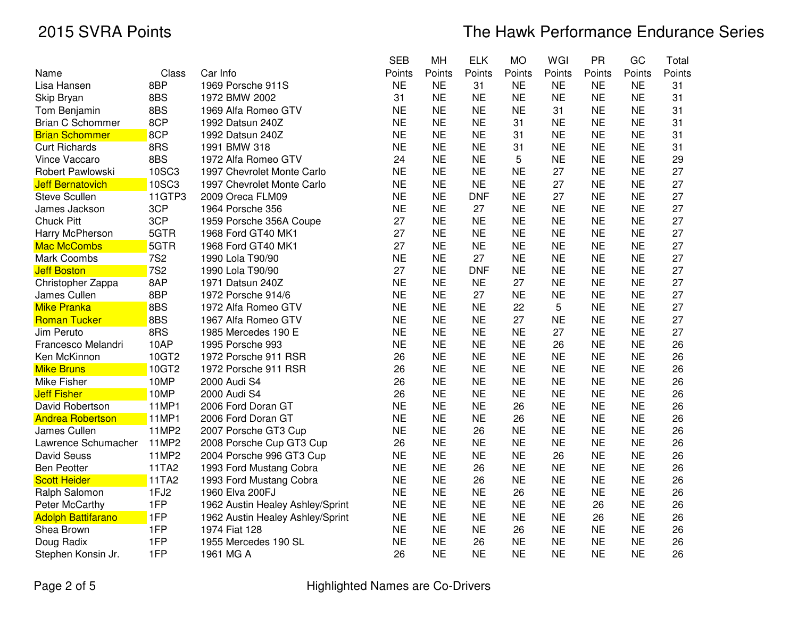|                           |            |                                  | <b>SEB</b> | MH        | <b>ELK</b> | <b>MO</b> | WGI       | <b>PR</b> | GC        | Total  |
|---------------------------|------------|----------------------------------|------------|-----------|------------|-----------|-----------|-----------|-----------|--------|
| Name                      | Class      | Car Info                         | Points     | Points    | Points     | Points    | Points    | Points    | Points    | Points |
| Lisa Hansen               | 8BP        | 1969 Porsche 911S                | <b>NE</b>  | <b>NE</b> | 31         | <b>NE</b> | <b>NE</b> | <b>NE</b> | <b>NE</b> | 31     |
| Skip Bryan                | 8BS        | 1972 BMW 2002                    | 31         | <b>NE</b> | <b>NE</b>  | <b>NE</b> | <b>NE</b> | <b>NE</b> | <b>NE</b> | 31     |
| Tom Benjamin              | 8BS        | 1969 Alfa Romeo GTV              | <b>NE</b>  | <b>NE</b> | <b>NE</b>  | <b>NE</b> | 31        | <b>NE</b> | <b>NE</b> | 31     |
| <b>Brian C Schommer</b>   | 8CP        | 1992 Datsun 240Z                 | <b>NE</b>  | <b>NE</b> | <b>NE</b>  | 31        | <b>NE</b> | <b>NE</b> | <b>NE</b> | 31     |
| <b>Brian Schommer</b>     | 8CP        | 1992 Datsun 240Z                 | <b>NE</b>  | <b>NE</b> | <b>NE</b>  | 31        | <b>NE</b> | <b>NE</b> | <b>NE</b> | 31     |
| <b>Curt Richards</b>      | 8RS        | 1991 BMW 318                     | <b>NE</b>  | <b>NE</b> | <b>NE</b>  | 31        | <b>NE</b> | <b>NE</b> | <b>NE</b> | 31     |
| Vince Vaccaro             | 8BS        | 1972 Alfa Romeo GTV              | 24         | <b>NE</b> | <b>NE</b>  | 5         | <b>NE</b> | <b>NE</b> | <b>NE</b> | 29     |
| Robert Pawlowski          | 10SC3      | 1997 Chevrolet Monte Carlo       | <b>NE</b>  | <b>NE</b> | <b>NE</b>  | <b>NE</b> | 27        | <b>NE</b> | <b>NE</b> | 27     |
| <b>Jeff Bernatovich</b>   | 10SC3      | 1997 Chevrolet Monte Carlo       | <b>NE</b>  | <b>NE</b> | <b>NE</b>  | <b>NE</b> | 27        | <b>NE</b> | <b>NE</b> | 27     |
| <b>Steve Scullen</b>      | 11GTP3     | 2009 Oreca FLM09                 | <b>NE</b>  | <b>NE</b> | <b>DNF</b> | <b>NE</b> | 27        | <b>NE</b> | <b>NE</b> | 27     |
| James Jackson             | 3CP        | 1964 Porsche 356                 | <b>NE</b>  | <b>NE</b> | 27         | <b>NE</b> | <b>NE</b> | <b>NE</b> | <b>NE</b> | 27     |
| <b>Chuck Pitt</b>         | 3CP        | 1959 Porsche 356A Coupe          | 27         | <b>NE</b> | <b>NE</b>  | <b>NE</b> | <b>NE</b> | <b>NE</b> | <b>NE</b> | 27     |
| Harry McPherson           | 5GTR       | 1968 Ford GT40 MK1               | 27         | <b>NE</b> | <b>NE</b>  | <b>NE</b> | <b>NE</b> | <b>NE</b> | <b>NE</b> | 27     |
| Mac McCombs               | 5GTR       | 1968 Ford GT40 MK1               | 27         | <b>NE</b> | <b>NE</b>  | <b>NE</b> | <b>NE</b> | <b>NE</b> | <b>NE</b> | 27     |
| Mark Coombs               | <b>7S2</b> | 1990 Lola T90/90                 | <b>NE</b>  | <b>NE</b> | 27         | <b>NE</b> | <b>NE</b> | <b>NE</b> | <b>NE</b> | 27     |
| <b>Jeff Boston</b>        | <b>7S2</b> | 1990 Lola T90/90                 | 27         | <b>NE</b> | <b>DNF</b> | <b>NE</b> | <b>NE</b> | <b>NE</b> | <b>NE</b> | 27     |
| Christopher Zappa         | 8AP        | 1971 Datsun 240Z                 | <b>NE</b>  | <b>NE</b> | <b>NE</b>  | 27        | <b>NE</b> | <b>NE</b> | <b>NE</b> | 27     |
| James Cullen              | 8BP        | 1972 Porsche 914/6               | <b>NE</b>  | <b>NE</b> | 27         | <b>NE</b> | <b>NE</b> | <b>NE</b> | <b>NE</b> | 27     |
| <b>Mike Pranka</b>        | 8BS        | 1972 Alfa Romeo GTV              | <b>NE</b>  | <b>NE</b> | <b>NE</b>  | 22        | 5         | <b>NE</b> | <b>NE</b> | 27     |
| Roman Tucker              | 8BS        | 1967 Alfa Romeo GTV              | <b>NE</b>  | <b>NE</b> | <b>NE</b>  | 27        | <b>NE</b> | <b>NE</b> | <b>NE</b> | 27     |
| Jim Peruto                | 8RS        | 1985 Mercedes 190 E              | <b>NE</b>  | <b>NE</b> | <b>NE</b>  | <b>NE</b> | 27        | <b>NE</b> | <b>NE</b> | 27     |
| Francesco Melandri        | 10AP       | 1995 Porsche 993                 | <b>NE</b>  | <b>NE</b> | <b>NE</b>  | <b>NE</b> | 26        | <b>NE</b> | <b>NE</b> | 26     |
| Ken McKinnon              | 10GT2      | 1972 Porsche 911 RSR             | 26         | <b>NE</b> | <b>NE</b>  | <b>NE</b> | <b>NE</b> | <b>NE</b> | <b>NE</b> | 26     |
| <b>Mike Bruns</b>         | 10GT2      | 1972 Porsche 911 RSR             | 26         | <b>NE</b> | <b>NE</b>  | <b>NE</b> | <b>NE</b> | <b>NE</b> | <b>NE</b> | 26     |
| Mike Fisher               | 10MP       | 2000 Audi S4                     | 26         | <b>NE</b> | <b>NE</b>  | <b>NE</b> | <b>NE</b> | <b>NE</b> | <b>NE</b> | 26     |
| <b>Jeff Fisher</b>        | 10MP       | 2000 Audi S4                     | 26         | <b>NE</b> | <b>NE</b>  | <b>NE</b> | <b>NE</b> | <b>NE</b> | <b>NE</b> | 26     |
| David Robertson           | 11MP1      | 2006 Ford Doran GT               | <b>NE</b>  | <b>NE</b> | <b>NE</b>  | 26        | <b>NE</b> | <b>NE</b> | <b>NE</b> | 26     |
| <b>Andrea Robertson</b>   | 11MP1      | 2006 Ford Doran GT               | <b>NE</b>  | <b>NE</b> | <b>NE</b>  | 26        | <b>NE</b> | <b>NE</b> | <b>NE</b> | 26     |
| James Cullen              | 11MP2      | 2007 Porsche GT3 Cup             | <b>NE</b>  | <b>NE</b> | 26         | <b>NE</b> | <b>NE</b> | <b>NE</b> | <b>NE</b> | 26     |
| Lawrence Schumacher       | 11MP2      | 2008 Porsche Cup GT3 Cup         | 26         | <b>NE</b> | <b>NE</b>  | <b>NE</b> | <b>NE</b> | <b>NE</b> | <b>NE</b> | 26     |
| David Seuss               | 11MP2      | 2004 Porsche 996 GT3 Cup         | <b>NE</b>  | <b>NE</b> | <b>NE</b>  | <b>NE</b> | 26        | <b>NE</b> | <b>NE</b> | 26     |
| <b>Ben Peotter</b>        | 11TA2      | 1993 Ford Mustang Cobra          | <b>NE</b>  | <b>NE</b> | 26         | <b>NE</b> | <b>NE</b> | <b>NE</b> | <b>NE</b> | 26     |
| <b>Scott Heider</b>       | 11TA2      | 1993 Ford Mustang Cobra          | <b>NE</b>  | <b>NE</b> | 26         | <b>NE</b> | <b>NE</b> | <b>NE</b> | <b>NE</b> | 26     |
| Ralph Salomon             | 1FJ2       | 1960 Elva 200FJ                  | <b>NE</b>  | <b>NE</b> | <b>NE</b>  | 26        | <b>NE</b> | <b>NE</b> | <b>NE</b> | 26     |
| <b>Peter McCarthy</b>     | 1FP        | 1962 Austin Healey Ashley/Sprint | <b>NE</b>  | <b>NE</b> | <b>NE</b>  | <b>NE</b> | <b>NE</b> | 26        | <b>NE</b> | 26     |
| <b>Adolph Battifarano</b> | 1FP        | 1962 Austin Healey Ashley/Sprint | <b>NE</b>  | <b>NE</b> | <b>NE</b>  | <b>NE</b> | <b>NE</b> | 26        | <b>NE</b> | 26     |
| Shea Brown                | 1FP        | 1974 Fiat 128                    | <b>NE</b>  | <b>NE</b> | <b>NE</b>  | 26        | <b>NE</b> | <b>NE</b> | <b>NE</b> | 26     |
| Doug Radix                | 1FP        | 1955 Mercedes 190 SL             | <b>NE</b>  | <b>NE</b> | 26         | <b>NE</b> | <b>NE</b> | <b>NE</b> | <b>NE</b> | 26     |
| Stephen Konsin Jr.        | 1FP        | 1961 MG A                        | 26         | <b>NE</b> | <b>NE</b>  | <b>NE</b> | <b>NE</b> | <b>NE</b> | <b>NE</b> | 26     |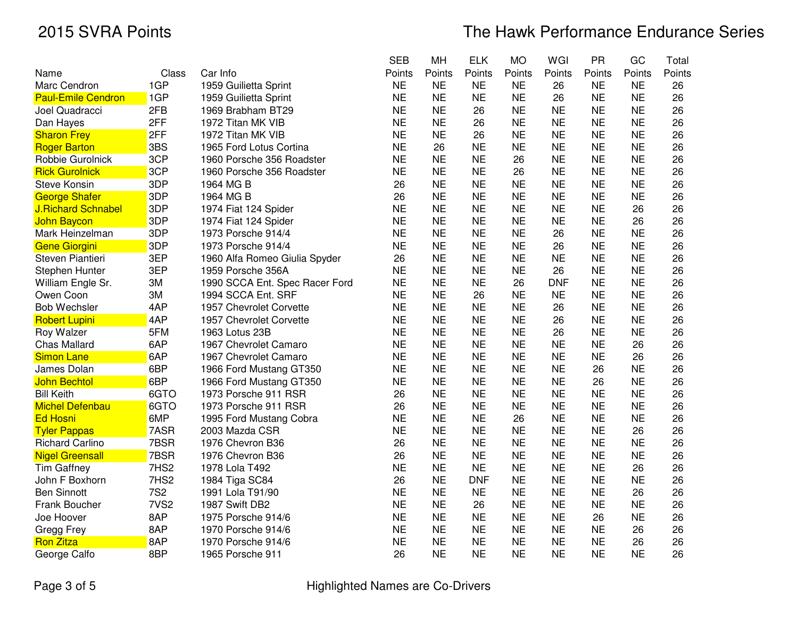|                           |                  |                                | <b>SEB</b> | MH        | <b>ELK</b> | <b>MO</b> | WGI        | <b>PR</b> | GC        | Total  |
|---------------------------|------------------|--------------------------------|------------|-----------|------------|-----------|------------|-----------|-----------|--------|
| Name                      | Class            | Car Info                       | Points     | Points    | Points     | Points    | Points     | Points    | Points    | Points |
| Marc Cendron              | 1GP              | 1959 Guilietta Sprint          | <b>NE</b>  | <b>NE</b> | <b>NE</b>  | <b>NE</b> | 26         | <b>NE</b> | <b>NE</b> | 26     |
| <b>Paul-Emile Cendron</b> | 1GP              | 1959 Guilietta Sprint          | <b>NE</b>  | <b>NE</b> | <b>NE</b>  | <b>NE</b> | 26         | <b>NE</b> | <b>NE</b> | 26     |
| Joel Quadracci            | 2FB              | 1969 Brabham BT29              | <b>NE</b>  | <b>NE</b> | 26         | <b>NE</b> | <b>NE</b>  | <b>NE</b> | <b>NE</b> | 26     |
| Dan Hayes                 | 2FF              | 1972 Titan MK VIB              | <b>NE</b>  | <b>NE</b> | 26         | <b>NE</b> | <b>NE</b>  | <b>NE</b> | <b>NE</b> | 26     |
| <b>Sharon Frey</b>        | 2FF              | 1972 Titan MK VIB              | <b>NE</b>  | <b>NE</b> | 26         | <b>NE</b> | <b>NE</b>  | <b>NE</b> | <b>NE</b> | 26     |
| <b>Roger Barton</b>       | 3BS              | 1965 Ford Lotus Cortina        | <b>NE</b>  | 26        | <b>NE</b>  | <b>NE</b> | <b>NE</b>  | <b>NE</b> | <b>NE</b> | 26     |
| Robbie Gurolnick          | 3CP              | 1960 Porsche 356 Roadster      | <b>NE</b>  | <b>NE</b> | <b>NE</b>  | 26        | <b>NE</b>  | <b>NE</b> | <b>NE</b> | 26     |
| <b>Rick Gurolnick</b>     | 3CP              | 1960 Porsche 356 Roadster      | <b>NE</b>  | <b>NE</b> | <b>NE</b>  | 26        | <b>NE</b>  | <b>NE</b> | <b>NE</b> | 26     |
| <b>Steve Konsin</b>       | 3DP              | 1964 MG B                      | 26         | <b>NE</b> | <b>NE</b>  | <b>NE</b> | <b>NE</b>  | <b>NE</b> | <b>NE</b> | 26     |
| <b>George Shafer</b>      | 3DP              | 1964 MG B                      | 26         | <b>NE</b> | <b>NE</b>  | <b>NE</b> | <b>NE</b>  | <b>NE</b> | <b>NE</b> | 26     |
| <b>J.Richard Schnabel</b> | 3DP              | 1974 Fiat 124 Spider           | <b>NE</b>  | <b>NE</b> | <b>NE</b>  | <b>NE</b> | <b>NE</b>  | <b>NE</b> | 26        | 26     |
| John Baycon               | 3DP              | 1974 Fiat 124 Spider           | <b>NE</b>  | <b>NE</b> | <b>NE</b>  | <b>NE</b> | <b>NE</b>  | <b>NE</b> | 26        | 26     |
| Mark Heinzelman           | 3DP              | 1973 Porsche 914/4             | <b>NE</b>  | <b>NE</b> | <b>NE</b>  | <b>NE</b> | 26         | <b>NE</b> | <b>NE</b> | 26     |
| Gene Giorgini             | 3DP              | 1973 Porsche 914/4             | <b>NE</b>  | <b>NE</b> | <b>NE</b>  | <b>NE</b> | 26         | <b>NE</b> | <b>NE</b> | 26     |
| Steven Piantieri          | 3EP              | 1960 Alfa Romeo Giulia Spyder  | 26         | <b>NE</b> | <b>NE</b>  | <b>NE</b> | <b>NE</b>  | <b>NE</b> | <b>NE</b> | 26     |
| <b>Stephen Hunter</b>     | 3EP              | 1959 Porsche 356A              | <b>NE</b>  | <b>NE</b> | <b>NE</b>  | <b>NE</b> | 26         | <b>NE</b> | <b>NE</b> | 26     |
| William Engle Sr.         | 3M               | 1990 SCCA Ent. Spec Racer Ford | <b>NE</b>  | <b>NE</b> | <b>NE</b>  | 26        | <b>DNF</b> | <b>NE</b> | <b>NE</b> | 26     |
| Owen Coon                 | ЗM               | 1994 SCCA Ent. SRF             | <b>NE</b>  | <b>NE</b> | 26         | <b>NE</b> | <b>NE</b>  | <b>NE</b> | <b>NE</b> | 26     |
| <b>Bob Wechsler</b>       | 4AP              | 1957 Chevrolet Corvette        | <b>NE</b>  | <b>NE</b> | <b>NE</b>  | <b>NE</b> | 26         | <b>NE</b> | <b>NE</b> | 26     |
| <b>Robert Lupini</b>      | 4AP              | 1957 Chevrolet Corvette        | <b>NE</b>  | <b>NE</b> | <b>NE</b>  | <b>NE</b> | 26         | <b>NE</b> | <b>NE</b> | 26     |
| Roy Walzer                | 5FM              | 1963 Lotus 23B                 | <b>NE</b>  | <b>NE</b> | <b>NE</b>  | <b>NE</b> | 26         | <b>NE</b> | <b>NE</b> | 26     |
| <b>Chas Mallard</b>       | 6AP              | 1967 Chevrolet Camaro          | <b>NE</b>  | <b>NE</b> | <b>NE</b>  | <b>NE</b> | <b>NE</b>  | <b>NE</b> | 26        | 26     |
| <b>Simon Lane</b>         | 6AP              | 1967 Chevrolet Camaro          | <b>NE</b>  | <b>NE</b> | <b>NE</b>  | <b>NE</b> | <b>NE</b>  | <b>NE</b> | 26        | 26     |
| James Dolan               | 6BP              | 1966 Ford Mustang GT350        | <b>NE</b>  | <b>NE</b> | <b>NE</b>  | <b>NE</b> | <b>NE</b>  | 26        | <b>NE</b> | 26     |
| John Bechtol              | 6BP              | 1966 Ford Mustang GT350        | <b>NE</b>  | <b>NE</b> | <b>NE</b>  | <b>NE</b> | <b>NE</b>  | 26        | <b>NE</b> | 26     |
| <b>Bill Keith</b>         | 6GTO             | 1973 Porsche 911 RSR           | 26         | <b>NE</b> | <b>NE</b>  | <b>NE</b> | <b>NE</b>  | <b>NE</b> | <b>NE</b> | 26     |
| <b>Michel Defenbau</b>    | 6GTO             | 1973 Porsche 911 RSR           | 26         | <b>NE</b> | <b>NE</b>  | <b>NE</b> | <b>NE</b>  | <b>NE</b> | <b>NE</b> | 26     |
| <b>Ed Hosni</b>           | 6MP              | 1995 Ford Mustang Cobra        | <b>NE</b>  | <b>NE</b> | <b>NE</b>  | 26        | <b>NE</b>  | <b>NE</b> | <b>NE</b> | 26     |
| <b>Tyler Pappas</b>       | 7ASR             | 2003 Mazda CSR                 | <b>NE</b>  | <b>NE</b> | <b>NE</b>  | <b>NE</b> | <b>NE</b>  | <b>NE</b> | 26        | 26     |
| <b>Richard Carlino</b>    | 7BSR             | 1976 Chevron B36               | 26         | <b>NE</b> | <b>NE</b>  | <b>NE</b> | <b>NE</b>  | <b>NE</b> | <b>NE</b> | 26     |
| <b>Nigel Greensall</b>    | 7BSR             | 1976 Chevron B36               | 26         | <b>NE</b> | <b>NE</b>  | <b>NE</b> | <b>NE</b>  | <b>NE</b> | <b>NE</b> | 26     |
| <b>Tim Gaffney</b>        | 7HS2             | 1978 Lola T492                 | <b>NE</b>  | <b>NE</b> | <b>NE</b>  | <b>NE</b> | <b>NE</b>  | <b>NE</b> | 26        | 26     |
| John F Boxhorn            | 7HS2             | 1984 Tiga SC84                 | 26         | <b>NE</b> | <b>DNF</b> | <b>NE</b> | <b>NE</b>  | <b>NE</b> | <b>NE</b> | 26     |
| <b>Ben Sinnott</b>        | <b>7S2</b>       | 1991 Lola T91/90               | <b>NE</b>  | <b>NE</b> | <b>NE</b>  | <b>NE</b> | <b>NE</b>  | <b>NE</b> | 26        | 26     |
| Frank Boucher             | 7VS <sub>2</sub> | 1987 Swift DB2                 | <b>NE</b>  | <b>NE</b> | 26         | <b>NE</b> | <b>NE</b>  | <b>NE</b> | <b>NE</b> | 26     |
| Joe Hoover                | 8AP              | 1975 Porsche 914/6             | <b>NE</b>  | <b>NE</b> | <b>NE</b>  | <b>NE</b> | <b>NE</b>  | 26        | <b>NE</b> | 26     |
| Gregg Frey                | 8AP              | 1970 Porsche 914/6             | <b>NE</b>  | <b>NE</b> | <b>NE</b>  | <b>NE</b> | <b>NE</b>  | <b>NE</b> | 26        | 26     |
| <b>Ron Zitza</b>          | 8AP              | 1970 Porsche 914/6             | <b>NE</b>  | <b>NE</b> | <b>NE</b>  | <b>NE</b> | <b>NE</b>  | <b>NE</b> | 26        | 26     |
| George Calfo              | 8BP              | 1965 Porsche 911               | 26         | <b>NE</b> | <b>NE</b>  | <b>NE</b> | <b>NE</b>  | <b>NE</b> | <b>NE</b> | 26     |
|                           |                  |                                |            |           |            |           |            |           |           |        |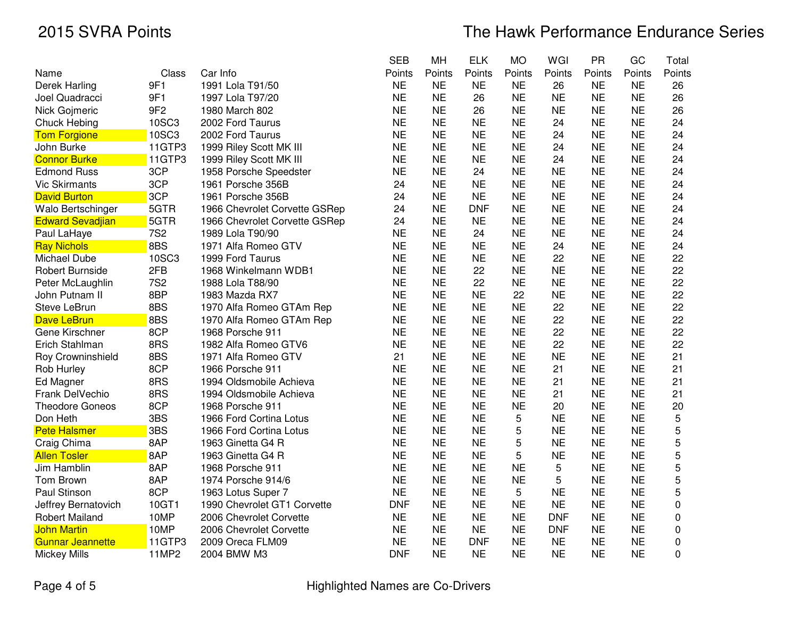|                 |                               | <b>SEB</b>                                                                                              | MH        | <b>ELK</b> | <b>MO</b> | WGI        | <b>PR</b> | GC        | Total       |
|-----------------|-------------------------------|---------------------------------------------------------------------------------------------------------|-----------|------------|-----------|------------|-----------|-----------|-------------|
| Class           | Car Info                      | Points                                                                                                  | Points    | Points     | Points    | Points     | Points    | Points    | Points      |
| 9F1             | 1991 Lola T91/50              | <b>NE</b>                                                                                               | <b>NE</b> | <b>NE</b>  | <b>NE</b> | 26         | <b>NE</b> | <b>NE</b> | 26          |
| 9F1             | 1997 Lola T97/20              | <b>NE</b>                                                                                               | <b>NE</b> | 26         | <b>NE</b> | <b>NE</b>  | <b>NE</b> | <b>NE</b> | 26          |
| 9F <sub>2</sub> | 1980 March 802                | <b>NE</b>                                                                                               | <b>NE</b> | 26         | <b>NE</b> | <b>NE</b>  | <b>NE</b> | <b>NE</b> | 26          |
| 10SC3           | 2002 Ford Taurus              | <b>NE</b>                                                                                               | <b>NE</b> | <b>NE</b>  | <b>NE</b> | 24         | <b>NE</b> | <b>NE</b> | 24          |
|                 | 2002 Ford Taurus              | <b>NE</b>                                                                                               | <b>NE</b> | <b>NE</b>  | <b>NE</b> | 24         | <b>NE</b> | <b>NE</b> | 24          |
| 11GTP3          | 1999 Riley Scott MK III       | <b>NE</b>                                                                                               | <b>NE</b> | <b>NE</b>  | <b>NE</b> | 24         | <b>NE</b> | <b>NE</b> | 24          |
| 11GTP3          |                               | <b>NE</b>                                                                                               | <b>NE</b> | <b>NE</b>  | <b>NE</b> | 24         | <b>NE</b> | <b>NE</b> | 24          |
| 3CP             |                               | <b>NE</b>                                                                                               | <b>NE</b> | 24         | <b>NE</b> | <b>NE</b>  | <b>NE</b> | <b>NE</b> | 24          |
| 3CP             | 1961 Porsche 356B             | 24                                                                                                      | <b>NE</b> | <b>NE</b>  | <b>NE</b> | <b>NE</b>  | <b>NE</b> | <b>NE</b> | 24          |
| 3CP             |                               | 24                                                                                                      | <b>NE</b> | <b>NE</b>  | <b>NE</b> | <b>NE</b>  | <b>NE</b> | <b>NE</b> | 24          |
| 5GTR            |                               | 24                                                                                                      | <b>NE</b> | <b>DNF</b> | <b>NE</b> | <b>NE</b>  | <b>NE</b> | <b>NE</b> | 24          |
| 5GTR            | 1966 Chevrolet Corvette GSRep | 24                                                                                                      | <b>NE</b> | <b>NE</b>  | <b>NE</b> | <b>NE</b>  | <b>NE</b> | <b>NE</b> | 24          |
|                 | 1989 Lola T90/90              | <b>NE</b>                                                                                               | <b>NE</b> | 24         | <b>NE</b> | <b>NE</b>  | <b>NE</b> | <b>NE</b> | 24          |
| 8BS             | 1971 Alfa Romeo GTV           | <b>NE</b>                                                                                               | <b>NE</b> | <b>NE</b>  | <b>NE</b> | 24         | <b>NE</b> | <b>NE</b> | 24          |
| 10SC3           | 1999 Ford Taurus              | <b>NE</b>                                                                                               | <b>NE</b> | <b>NE</b>  | <b>NE</b> | 22         | <b>NE</b> | <b>NE</b> | 22          |
| 2FB             | 1968 Winkelmann WDB1          | <b>NE</b>                                                                                               | <b>NE</b> | 22         | <b>NE</b> | <b>NE</b>  | <b>NE</b> | <b>NE</b> | 22          |
| <b>7S2</b>      | 1988 Lola T88/90              | <b>NE</b>                                                                                               | <b>NE</b> | 22         | <b>NE</b> | <b>NE</b>  | <b>NE</b> | <b>NE</b> | 22          |
| 8BP             | 1983 Mazda RX7                | <b>NE</b>                                                                                               | <b>NE</b> | <b>NE</b>  | 22        | <b>NE</b>  | <b>NE</b> | <b>NE</b> | 22          |
| 8BS             | 1970 Alfa Romeo GTAm Rep      | <b>NE</b>                                                                                               | <b>NE</b> | <b>NE</b>  | <b>NE</b> | 22         | <b>NE</b> | <b>NE</b> | 22          |
| 8BS             | 1970 Alfa Romeo GTAm Rep      | <b>NE</b>                                                                                               | <b>NE</b> | <b>NE</b>  | <b>NE</b> | 22         | <b>NE</b> | <b>NE</b> | 22          |
| 8CP             | 1968 Porsche 911              | <b>NE</b>                                                                                               | <b>NE</b> | <b>NE</b>  | <b>NE</b> | 22         | <b>NE</b> | <b>NE</b> | 22          |
| 8RS             | 1982 Alfa Romeo GTV6          | <b>NE</b>                                                                                               | <b>NE</b> | <b>NE</b>  | <b>NE</b> | 22         | <b>NE</b> | <b>NE</b> | 22          |
| 8BS             | 1971 Alfa Romeo GTV           | 21                                                                                                      | <b>NE</b> | <b>NE</b>  | <b>NE</b> | <b>NE</b>  | <b>NE</b> | <b>NE</b> | 21          |
| 8CP             | 1966 Porsche 911              | <b>NE</b>                                                                                               | <b>NE</b> | <b>NE</b>  | <b>NE</b> | 21         | <b>NE</b> | <b>NE</b> | 21          |
| 8RS             | 1994 Oldsmobile Achieva       | <b>NE</b>                                                                                               | <b>NE</b> | <b>NE</b>  | <b>NE</b> | 21         | <b>NE</b> | <b>NE</b> | 21          |
| 8RS             | 1994 Oldsmobile Achieva       | <b>NE</b>                                                                                               | <b>NE</b> | <b>NE</b>  | <b>NE</b> | 21         | <b>NE</b> | <b>NE</b> | 21          |
| 8CP             | 1968 Porsche 911              | <b>NE</b>                                                                                               | <b>NE</b> | <b>NE</b>  | <b>NE</b> | 20         | <b>NE</b> | <b>NE</b> | 20          |
| 3BS             | 1966 Ford Cortina Lotus       | <b>NE</b>                                                                                               | <b>NE</b> | <b>NE</b>  | 5         | <b>NE</b>  | <b>NE</b> | <b>NE</b> | 5           |
| 3BS             | 1966 Ford Cortina Lotus       | <b>NE</b>                                                                                               | <b>NE</b> | <b>NE</b>  | 5         | <b>NE</b>  | <b>NE</b> | <b>NE</b> | 5           |
| 8AP             | 1963 Ginetta G4 R             | <b>NE</b>                                                                                               | <b>NE</b> | <b>NE</b>  | 5         | <b>NE</b>  | <b>NE</b> | <b>NE</b> | 5           |
| 8AP             | 1963 Ginetta G4 R             | <b>NE</b>                                                                                               | <b>NE</b> | <b>NE</b>  | 5         | <b>NE</b>  | <b>NE</b> | <b>NE</b> | 5           |
| 8AP             | 1968 Porsche 911              | <b>NE</b>                                                                                               | <b>NE</b> | <b>NE</b>  | <b>NE</b> | 5          | <b>NE</b> | <b>NE</b> | 5           |
| 8AP             | 1974 Porsche 914/6            | <b>NE</b>                                                                                               | <b>NE</b> | <b>NE</b>  | <b>NE</b> | 5          | <b>NE</b> | <b>NE</b> | 5           |
| 8CP             | 1963 Lotus Super 7            | <b>NE</b>                                                                                               | <b>NE</b> | <b>NE</b>  | 5         | <b>NE</b>  | <b>NE</b> | <b>NE</b> | 5           |
| 10GT1           | 1990 Chevrolet GT1 Corvette   | <b>DNF</b>                                                                                              | <b>NE</b> | <b>NE</b>  | <b>NE</b> | <b>NE</b>  | <b>NE</b> | <b>NE</b> | $\mathbf 0$ |
| 10MP            | 2006 Chevrolet Corvette       | <b>NE</b>                                                                                               | <b>NE</b> | <b>NE</b>  | <b>NE</b> | <b>DNF</b> | <b>NE</b> | <b>NE</b> | $\mathbf 0$ |
| 10MP            | 2006 Chevrolet Corvette       | <b>NE</b>                                                                                               | <b>NE</b> | <b>NE</b>  | <b>NE</b> | <b>DNF</b> | <b>NE</b> | <b>NE</b> | 0           |
| 11GTP3          | 2009 Oreca FLM09              | <b>NE</b>                                                                                               | <b>NE</b> | <b>DNF</b> | <b>NE</b> | <b>NE</b>  | <b>NE</b> | <b>NE</b> | $\mathbf 0$ |
| 11MP2           | 2004 BMW M3                   | <b>DNF</b>                                                                                              | <b>NE</b> | <b>NE</b>  | <b>NE</b> | <b>NE</b>  | <b>NE</b> | <b>NE</b> | 0           |
|                 | 10SC3<br><b>7S2</b>           | 1999 Riley Scott MK III<br>1958 Porsche Speedster<br>1961 Porsche 356B<br>1966 Chevrolet Corvette GSRep |           |            |           |            |           |           |             |